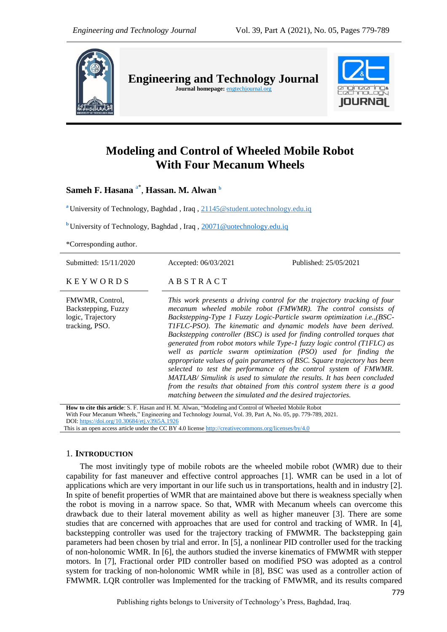

**Engineering and Technology Journal**  Journal homepage: **engtechjournal.org** 



# **Modeling and Control of Wheeled Mobile Robot With Four Mecanum Wheels**

**Sameh F. Hasana** a\* , **Hassan. M. Alwan <sup>b</sup>**

**<sup>a</sup>** University of Technology, Baghdad , Iraq , 21145@student.uotechnology.edu.iq

**b** University of Technology, Baghdad, Iraq, [20071@uotechnology.edu.iq](mailto:20071@uotechnology.edu.iq)

\*Corresponding author.

Submitted: 15/11/2020 Accepted: 06/03/2021 Published: 25/05/2021

 $K E Y W O R D S$   $AB S T R A C T$ 

tracking, PSO.

FMWMR, Control, Backstepping, Fuzzy logic, Trajectory

*This work presents a driving control for the trajectory tracking of four mecanum wheeled mobile robot (FMWMR). The control consists of Backstepping-Type 1 Fuzzy Logic-Particle swarm optimization i.e.,(BSC-T1FLC-PSO). The kinematic and dynamic models have been derived. Backstepping controller (BSC) is used for finding controlled torques that generated from robot motors while Type-1 fuzzy logic control (T1FLC) as well as particle swarm optimization (PSO) used for finding the appropriate values of gain parameters of BSC. Square trajectory has been selected to test the performance of the control system of FMWMR. MATLAB/ Simulink is used to simulate the results. It has been concluded from the results that obtained from this control system there is a good matching between the simulated and the desired trajectories.*

**How to cite this article**: S. F. Hasan and H. M. Alwan, "Modeling and Control of Wheeled Mobile Robot With Four Mecanum Wheels," Engineering and Technology Journal, Vol. 39, Part A, No. 05, pp. 779-789, 2021. DOI: <https://doi.org/10.30684/etj.v39i5A.1926>

This is an open access article under the CC BY 4.0 licens[e http://creativecommons.org/licenses/by/4.0](http://creativecommons.org/licenses/by/4.0)

## 1. **INTRODUCTION**

The most invitingly type of mobile robots are the wheeled mobile robot (WMR) due to their capability for fast maneuver and effective control approaches [1]. WMR can be used in a lot of applications which are very important in our life such us in transportations, health and in industry [2]. In spite of benefit properties of WMR that are maintained above but there is weakness specially when the robot is moving in a narrow space. So that, WMR with Mecanum wheels can overcome this drawback due to their lateral movement ability as well as higher maneuver [3]. There are some studies that are concerned with approaches that are used for control and tracking of WMR. In [4], backstepping controller was used for the trajectory tracking of FMWMR. The backstepping gain parameters had been chosen by trial and error. In [5], a nonlinear PID controller used for the tracking of non-holonomic WMR. In [6], the authors studied the inverse kinematics of FMWMR with stepper motors. In [7], Fractional order PID controller based on modified PSO was adopted as a control system for tracking of non-holonomic WMR while in [8], BSC was used as a controller action of FMWMR. LQR controller was Implemented for the tracking of FMWMR, and its results compared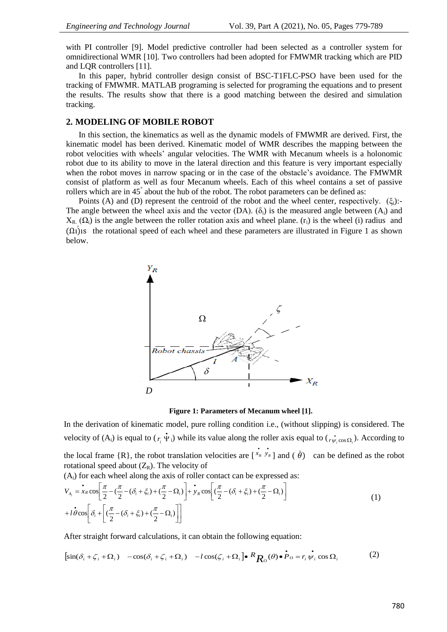with PI controller [9]. Model predictive controller had been selected as a controller system for omnidirectional WMR [10]. Two controllers had been adopted for FMWMR tracking which are PID and LQR controllers [11].

In this paper, hybrid controller design consist of BSC-T1FLC-PSO have been used for the tracking of FMWMR. MATLAB programing is selected for programing the equations and to present the results. The results show that there is a good matching between the desired and simulation tracking.

## **2. MODELING OF MOBILE ROBOT**

In this section, the kinematics as well as the dynamic models of FMWMR are derived. First, the kinematic model has been derived. Kinematic model of WMR describes the mapping between the robot velocities with wheels' angular velocities. The WMR with Mecanum wheels is a holonomic robot due to its ability to move in the lateral direction and this feature is very important especially when the robot moves in narrow spacing or in the case of the obstacle's avoidance. The FMWMR consist of platform as well as four Mecanum wheels. Each of this wheel contains a set of passive rollers which are in 45° about the hub of the robot. The robot parameters can be defined as:

Points (A) and (D) represent the centroid of the robot and the wheel center, respectively.  $(\xi_i)$ :-The angle between the wheel axis and the vector  $(DA)$ .  $(\delta_i)$  is the measured angle between  $(A_i)$  and  $X_{R_1}(\Omega_i)$  is the angle between the roller rotation axis and wheel plane. (r<sub>i</sub>) is the wheel (i) radius and  $($ Omegai) is the rotational speed of each wheel and these parameters are illustrated in Figure 1 as shown below.



**Figure 1: Parameters of Mecanum wheel [1].**

In the derivation of kinematic model, pure rolling condition i.e., (without slipping) is considered. The velocity of  $(A_i)$  is equal to  $(r_i \Psi_i)$  while its value along the roller axis equal to  $(r_{\Psi_i \cos \Omega_i})$ . According to the local frame  $\{R\}$ , the robot translation velocities are  $\left[\begin{array}{cc} \cdot & \cdot \\ x & y & z \end{array}\right]$  and  $\left(\begin{array}{cc} \dot{\theta} \end{array}\right)$  can be defined as the robot rotational speed about  $(Z_R)$ . The velocity of

 $(A<sub>i</sub>)$  for each wheel along the axis of roller contact can be expressed as:

$$
V_{A_i} = \mathbf{\dot{x}}_R \cos \left[ \frac{\pi}{2} - (\frac{\pi}{2} - (\delta_i + \xi_i) + (\frac{\pi}{2} - \Omega_i) \right] + \mathbf{\dot{y}}_R \cos \left[ (\frac{\pi}{2} - (\delta_i + \xi_i) + (\frac{\pi}{2} - \Omega_i) \right]
$$
  
+  $l \dot{\theta} \cos \left[ \delta_i + \left[ (\frac{\pi}{2} - (\delta_i + \xi_i) + (\frac{\pi}{2} - \Omega_i) \right] \right]$  (1)

After straight forward calculations, it can obtain the following equation:

$$
[\sin(\delta_i + \zeta_i + \Omega_i) - \cos(\delta_i + \zeta_i + \Omega_i) - l\cos(\zeta_i + \Omega_i)\bullet R_{R_O}(\theta)\bullet P_O = r_i \psi_i \cos \Omega_i
$$
 (2)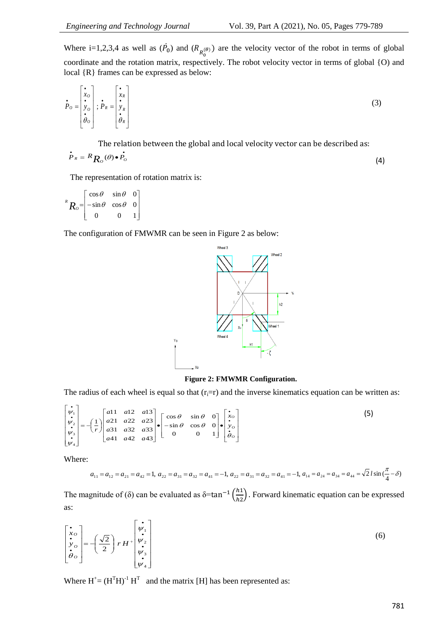Where i=1,2,3,4 as well as  $(\vec{P}_0)$  and  $(R_{n(\theta)})$  are the velocity vector of the robot in terms of global coordinate and the rotation matrix, respectively. The robot velocity vector in terms of global {O) and local {R} frames can be expressed as below:

$$
\dot{P}_o = \begin{bmatrix} \dot{x}_o \\ \dot{y}_o \\ \dot{\theta}_o \end{bmatrix}; \dot{P}_R = \begin{bmatrix} \dot{x}_R \\ \dot{y}_R \\ \dot{\theta}_R \end{bmatrix}
$$
(3)

The relation between the global and local velocity vector can be described as:  $\bullet$  and  $\bullet$  and  $\bullet$ 

$$
\dot{P}_R = R_{R_O}(\theta) \bullet \dot{P}_O \tag{4}
$$

The representation of rotation matrix is:

$$
{}^{R}R_{o} = \begin{bmatrix} \cos \theta & \sin \theta & 0 \\ -\sin \theta & \cos \theta & 0 \\ 0 & 0 & 1 \end{bmatrix}
$$

The configuration of FMWMR can be seen in Figure 2 as below:



**Figure 2: FMWMR Configuration.**

The radius of each wheel is equal so that  $(r_i=r)$  and the inverse kinematics equation can be written as:

$$
\begin{bmatrix} \dot{\mathbf{v}}_1 \\ \dot{\mathbf{v}}_2 \\ \dot{\mathbf{v}}_3 \\ \dot{\mathbf{v}}_4 \end{bmatrix} = -\left(\frac{1}{r}\right) \begin{bmatrix} a_{11} & a_{12} & a_{13} \\ a_{21} & a_{22} & a_{23} \\ a_{31} & a_{32} & a_{33} \\ a_{41} & a_{42} & a_{43} \end{bmatrix} \cdot \begin{bmatrix} \cos\theta & \sin\theta & 0 \\ -\sin\theta & \cos\theta & 0 \\ 0 & 0 & 1 \end{bmatrix} \cdot \begin{bmatrix} \dot{\mathbf{v}}_o \\ \dot{\mathbf{v}}_o \\ \dot{\theta}_o \end{bmatrix}
$$
 (5)

Where:

$$
a_{11} = a_{12} = a_{21} = a_{42} = 1, a_{22} = a_{31} = a_{32} = a_{41} = -1, a_{22} = a_{31} = a_{32} = a_{41} = -1, a_{14} = a_{24} = a_{34} = a_{44} = \sqrt{2} \cdot l \sin(\frac{\pi}{4} - \delta)
$$

The magnitude of ( $\delta$ ) can be evaluated as  $\delta = \tan^{-1} \left( \frac{h}{h} \right)$  $\frac{n_1}{n_2}$ ). Forward kinematic equation can be expressed as:

$$
\begin{bmatrix} \mathbf{\dot{x}}_{o} \\ \mathbf{\dot{y}}_{o} \\ \mathbf{\dot{\theta}}_{o} \end{bmatrix} = -\left(\frac{\sqrt{2}}{2}\right) r H^{+} \begin{bmatrix} \mathbf{\dot{v}}_{1} \\ \mathbf{\dot{v}}_{2} \\ \mathbf{\dot{w}}_{3} \\ \mathbf{\dot{v}}_{4} \end{bmatrix}
$$
 (6)

Where  $H^+ = (H^TH)^{-1}H^T$  and the matrix [H] has been represented as: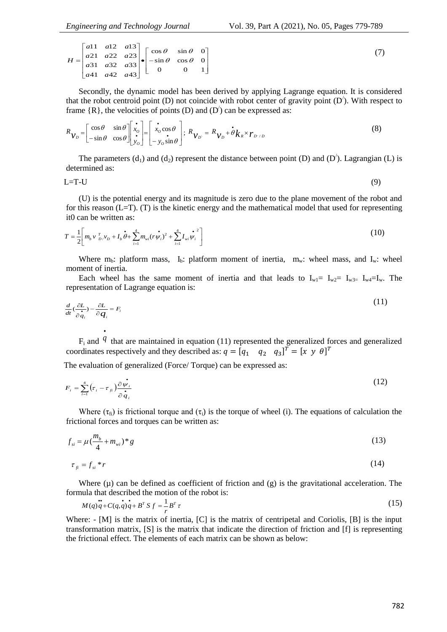(7)

|  |  | $H = \begin{bmatrix} a11 & a12 & a13 \\ a21 & a22 & a23 \\ a31 & a32 & a33 \\ a41 & a42 & a43 \end{bmatrix} \bullet \begin{bmatrix} \cos \theta & \sin \theta & 0 \\ -\sin \theta & \cos \theta & 0 \\ 0 & 0 & 1 \end{bmatrix}$ |  |
|--|--|---------------------------------------------------------------------------------------------------------------------------------------------------------------------------------------------------------------------------------|--|

Secondly, the dynamic model has been derived by applying Lagrange equation. It is considered that the robot centroid point  $(D)$  not coincide with robot center of gravity point  $(D')$ . With respect to frame  $\{R\}$ , the velocities of points (D) and (D<sup>'</sup>) can be expressed as:

$$
R_{\mathcal{V}_D} = \begin{bmatrix} \cos \theta & \sin \theta \\ -\sin \theta & \cos \theta \end{bmatrix} \begin{bmatrix} \dot{x}_o \\ \dot{x}_o \\ \dot{y}_o \end{bmatrix} = \begin{bmatrix} \dot{x}_o \cos \theta \\ \dot{x}_o \sin \theta \end{bmatrix}; \ R_{\mathcal{V}_D} = R_{\mathcal{V}_D} + \dot{\theta} k_R \times r_{D^c/D} \tag{8}
$$

J ' I J ┛

┐

The parameters  $(d_1)$  and  $(d_2)$  represent the distance between point (D) and (D<sup>'</sup>). Lagrangian (L) is determined as:

$$
L=T-U
$$
 (9)

(U) is the potential energy and its magnitude is zero due to the plane movement of the robot and for this reason  $(L=T)$ . (T) is the kinetic energy and the mathematical model that used for representing it0 can be written as:

$$
T = \frac{1}{2} \left[ m_b v_{D}^T v_D + I_b \dot{\theta} + \sum_{i=1}^4 m_{vi} (r \dot{\psi}_i)^2 + \sum_{i=1}^4 I_{vi} \dot{\psi}_i^2 \right]
$$
(10)

Where  $m_b$ : platform mass,  $I_b$ : platform moment of inertia,  $m_w$ : wheel mass, and  $I_w$ : wheel moment of inertia.

Each wheel has the same moment of inertia and that leads to  $I_{w1} = I_{w2} = I_{w3} = I_{w4} = I_w$ . The representation of Lagrange equation is:

$$
\frac{d}{dt}(\frac{\partial L}{\partial \dot{q}_i}) - \frac{\partial L}{\partial q_i} = F_i
$$
\n(11)

F<sup>i</sup> and <sup>*q*</sup> that are maintained in equation (11) represented the generalized forces and generalized coordinates respectively and they described as:  $q = [q_1 \ q_2 \ q_3]^T = [x \ y \ \theta]^T$ 

The evaluation of generalized (Force/ Torque) can be expressed as:

$$
F_i = \sum_{i=1}^4 \left(\tau_i - \tau_{\beta}\right) \frac{\partial \dot{\psi}_i}{\partial \dot{q}_i} \tag{12}
$$

Where ( $\tau_{fi}$ ) is frictional torque and ( $\tau_i$ ) is the torque of wheel (i). The equations of calculation the frictional forces and torques can be written as:

$$
f_{si} = \mu \left( \frac{m_b}{4} + m_{wi} \right)^{*} g \tag{13}
$$

$$
\tau_{fi} = f_{si} * r \tag{14}
$$

Where  $(\mu)$  can be defined as coefficient of friction and  $(g)$  is the gravitational acceleration. The formula that described the motion of the robot is:

$$
M(q)\ddot{q} + C(q,\dot{q})\dot{q} + B^T S f = \frac{1}{r}B^T \tau
$$
\n(15)

Where:  $-[M]$  is the matrix of inertia, [C] is the matrix of centripetal and Coriolis, [B] is the input transformation matrix, [S] is the matrix that indicate the direction of friction and [f] is representing the frictional effect. The elements of each matrix can be shown as below: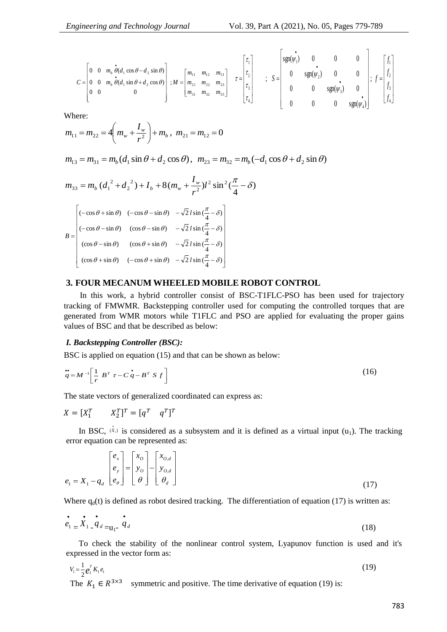$$
C = \begin{bmatrix} 0 & 0 & m_b & \dot{\theta}(d_1 \cos \theta - d_2 \sin \theta) \\ 0 & 0 & m_b & \dot{\theta}(d_1 \sin \theta + d_2 \cos \theta) \\ 0 & 0 & 0 \end{bmatrix}; M = \begin{bmatrix} m_{11} & m_{12} & m_{13} \\ m_{21} & m_{22} & m_{23} \\ m_{31} & m_{32} & m_{33} \end{bmatrix} \quad \tau = \begin{bmatrix} \tau_1 \\ \tau_2 \\ \tau_3 \\ \tau_4 \end{bmatrix} \quad ; \quad S = \begin{bmatrix} \sin(\psi_1) & 0 & 0 & 0 \\ 0 & \text{sgn}(\psi_2) & 0 & 0 \\ 0 & 0 & \text{sgn}(\psi_3) & 0 \\ 0 & 0 & 0 & \text{sgn}(\psi_4) \end{bmatrix}; \quad f = \begin{bmatrix} f_1 \\ f_2 \\ f_3 \\ f_4 \end{bmatrix}
$$

Where:

$$
m_{11} = m_{22} = 4\left(m_w + \frac{I_w}{r^2}\right) + m_b, \ m_{21} = m_{12} = 0
$$

$$
m_{13} = m_{31} = m_b (d_1 \sin \theta + d_2 \cos \theta), \ \ m_{23} = m_{32} = m_b (-d_1 \cos \theta + d_2 \sin \theta)
$$

$$
m_{33} = m_b (d_1^2 + d_2^2) + I_b + 8(m_w + \frac{I_w}{r^2})l^2 \sin^2(\frac{\pi}{4} - \delta)
$$

$$
B = \begin{pmatrix} (-\cos\theta + \sin\theta) & (-\cos\theta - \sin\theta) & -\sqrt{2} \, l \sin\left(\frac{\pi}{4} - \delta\right) \\ (-\cos\theta - \sin\theta) & (\cos\theta - \sin\theta) & -\sqrt{2} \, l \sin\left(\frac{\pi}{4} - \delta\right) \\ (\cos\theta - \sin\theta) & (\cos\theta + \sin\theta) & -\sqrt{2} \, l \sin\left(\frac{\pi}{4} - \delta\right) \\ (\cos\theta + \sin\theta) & (-\cos\theta + \sin\theta) & -\sqrt{2} \, l \sin\left(\frac{\pi}{4} - \delta\right) \end{pmatrix}
$$

## **3. FOUR MECANUM WHEELED MOBILE ROBOT CONTROL**

In this work, a hybrid controller consist of BSC-T1FLC-PSO has been used for trajectory tracking of FMWMR. Backstepping controller used for computing the controlled torques that are generated from WMR motors while T1FLC and PSO are applied for evaluating the proper gains values of BSC and that be described as below:

## *I. Backstepping Controller (BSC):*

BSC is applied on equation (15) and that can be shown as below:

$$
\ddot{\vec{q}} = M^{-1} \left[ \frac{1}{r} B^T \tau - C \dot{\vec{q}} - B^T S f \right]
$$
 (16)

The state vectors of generalized coordinated can express as:

$$
X = [X_1^T \qquad X_2^T]^T = [q^T \quad q^T]^T
$$

In BSC,  $(\dot{x}_i)$  is considered as a subsystem and it is defined as a virtual input (u<sub>1</sub>). The tracking error equation can be represented as:

$$
e_1 = X_1 - q_d \begin{bmatrix} e_x \\ e_y \\ e_\theta \end{bmatrix} = \begin{bmatrix} x_o \\ y_o \\ \theta \end{bmatrix} - \begin{bmatrix} x_{o,d} \\ y_{o,d} \\ \theta_d \end{bmatrix}
$$
(17)

Where  $q_d(t)$  is defined as robot desired tracking. The differentiation of equation (17) is written as:

$$
\dot{e}_1 = \dot{X}_1 - \dot{q}_d = \mathbf{u}_1 - \dot{q}_d \tag{18}
$$

To check the stability of the nonlinear control system, Lyapunov function is used and it's expressed in the vector form as:

$$
V_1 = \frac{1}{2} e_1^T K_1 e_1 \tag{19}
$$

The  $K_1 \in \mathbb{R}^{3 \times 3}$  symmetric and positive. The time derivative of equation (19) is: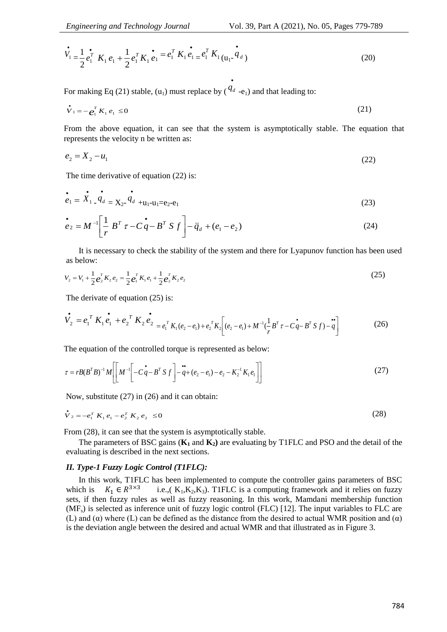$$
\dot{V}_1 = \frac{1}{2} e_1^T K_1 e_1 + \frac{1}{2} e_1^T K_1 e_1 = e_1^T K_1 e_1 = e_1^T K_1 (u_1 - u_2)
$$
\n(20)

For making Eq (21) stable, (u<sub>1</sub>) must replace by ( $^{q_d}$  -e<sub>1</sub>) and that leading to:

$$
\dot{\mathbf{V}}_1 = -\mathbf{e}_1^T \mathbf{K}_1 \mathbf{e}_1 \le 0 \tag{21}
$$

From the above equation, it can see that the system is asymptotically stable. The equation that represents the velocity n be written as:

 $\bullet$ 

$$
e_2 = X_2 - u_1 \tag{22}
$$

The time derivative of equation (22) is:

$$
\dot{e}_1 = \dot{X}_1 \dot{q}_d = X_{2} \dot{q}_d + u_1 - u_1 = e_2 - e_1 \tag{23}
$$

$$
\dot{\vec{e}}_2 = M^{-1} \left[ \frac{1}{r} B^T \tau - C \dot{\vec{q}} - B^T S f \right] - \ddot{q}_d + (e_1 - e_2)
$$
\n(24)

It is necessary to check the stability of the system and there for Lyapunov function has been used as below:

$$
V_2 = V_1 + \frac{1}{2} e_2^T K_2 e_2 = \frac{1}{2} e_1^T K_1 e_1 + \frac{1}{2} e_2^T K_2 e_2
$$
\n(25)

The derivate of equation (25) is:

$$
\dot{V}_2 = e_1^T K_1 e_1 + e_2^T K_2 e_2 = e_1^T K_1 (e_2 - e_1) + e_2^T K_2 \left[ (e_2 - e_1) + M^{-1} (\frac{1}{r} B^T \tau - C q - B^T S f) - q \right]
$$
(26)

The equation of the controlled torque is represented as below:

$$
\tau = rB(B^TB)^{-1}M \left[ \left[ M^{-1} \left[ -C \dot{q} - B^T S f \right] - \ddot{q} + (e_2 - e_1) - e_2 - K_2^{-1} K_1 e_1 \right] \right]
$$
(27)

Now, substitute (27) in (26) and it can obtain:

$$
\dot{\mathbf{V}}_2 = -e_1^T K_1 e_1 - e_2^T K_2 e_2 \le 0 \tag{28}
$$

From (28), it can see that the system is asymptotically stable.

The parameters of BSC gains  $(K_1 \text{ and } K_2)$  are evaluating by T1FLC and PSO and the detail of the evaluating is described in the next sections.

#### *II. Type-1 Fuzzy Logic Control (T1FLC):*

In this work, T1FLC has been implemented to compute the controller gains parameters of BSC which is  $K_1 \in R^{3 \times 3}$ i.e.,( $K_1, K_2, K_3$ ). T1FLC is a computing framework and it relies on fuzzy sets, if then fuzzy rules as well as fuzzy reasoning. In this work, Mamdani membership function  $(MF<sub>s</sub>)$  is selected as inference unit of fuzzy logic control (FLC) [12]. The input variables to FLC are (L) and ( $\alpha$ ) where (L) can be defined as the distance from the desired to actual WMR position and ( $\alpha$ ) is the deviation angle between the desired and actual WMR and that illustrated as in Figure 3.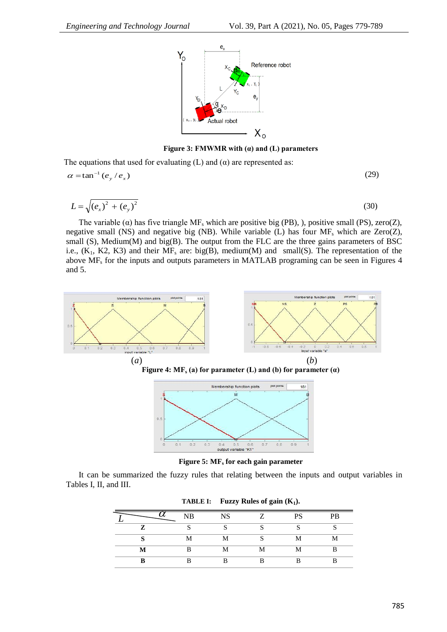

**Figure 3: FMWMR with (α) and (L) parameters**

The equations that used for evaluating  $(L)$  and  $(\alpha)$  are represented as:

$$
\alpha = \tan^{-1}(e_y / e_x) \tag{29}
$$

$$
L = \sqrt{(e_x)^2 + (e_y)^2}
$$
 (30)

The variable ( $\alpha$ ) has five triangle MF<sub>s</sub> which are positive big (PB), ), positive small (PS), zero( $Z$ ), negative small (NS) and negative big (NB). While variable (L) has four  $MF_s$  which are Zero(Z), small (S), Medium(M) and big(B). The output from the FLC are the three gains parameters of BSC i.e.,  $(K_1, K2, K3)$  and their  $MF_s$  are: big(B), medium(M) and small(S). The representation of the above  $MF_s$  for the inputs and outputs parameters in MATLAB programing can be seen in Figures 4 and 5.



**Figure 5: MF<sup>s</sup> for each gain parameter**

It can be summarized the fuzzy rules that relating between the inputs and output variables in Tables I, II, and III.

|   |    |           | . . |              |           |
|---|----|-----------|-----|--------------|-----------|
|   | NB | <b>NS</b> | 7   | <b>PS</b>    | <b>PB</b> |
| 7 |    |           |     |              | U         |
|   | M  | М         |     | M            | М         |
| M | R  | 1V.L      |     | $\mathbf{M}$ | D         |
|   |    | מ         |     |              |           |

**TABLE I: Fuzzy Rules of gain (K1).**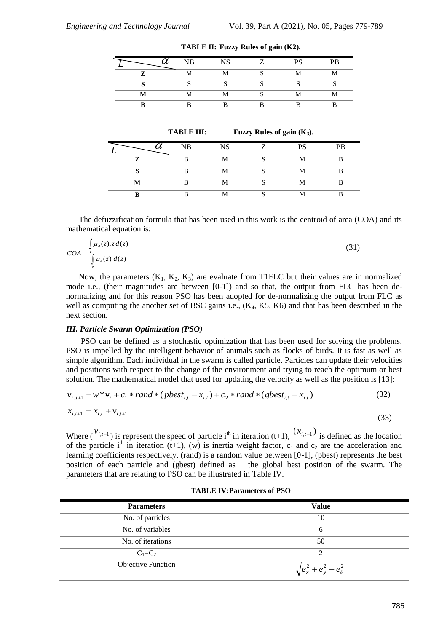|              | <b>ND</b> | <b>ATC</b> | <b>DO</b><br>N. | PB           |
|--------------|-----------|------------|-----------------|--------------|
| $\mathbf{z}$ | ъ.        |            |                 | $\mathbf{M}$ |
|              |           |            |                 |              |
|              | TA 7      |            |                 | $\mathbf{A}$ |
|              |           |            |                 |              |

| TABLE II: Fuzzy Rules of gain (K2). |  |  |
|-------------------------------------|--|--|
|-------------------------------------|--|--|

**TABLE III: Fuzzy Rules of gain (K3).**

|   | <b>NB</b> | <b>NIC</b>     | $\overline{ }$ | DC | PR |
|---|-----------|----------------|----------------|----|----|
| 7 |           |                |                |    | D  |
|   |           | $\bf M$<br>LV. |                |    | D  |
| M |           | ٦A             | $\sim$         |    | D  |
| D |           |                | r              |    | D  |

The defuzzification formula that has been used in this work is the centroid of area (COA) and its mathematical equation is:

$$
COA = \frac{\int_{z} \mu_{A}(z) \cdot z \, d(z)}{\int_{z} \mu_{A}(z) \, d(z)}
$$
(31)

Now, the parameters  $(K_1, K_2, K_3)$  are evaluate from T1FLC but their values are in normalized mode i.e., (their magnitudes are between  $[0-1]$ ) and so that, the output from FLC has been denormalizing and for this reason PSO has been adopted for de-normalizing the output from FLC as well as computing the another set of BSC gains i.e.,  $(K_4, K_5, K_6)$  and that has been described in the next section.

#### *III. Particle Swarm Optimization (PSO)*

PSO can be defined as a stochastic optimization that has been used for solving the problems. PSO is impelled by the intelligent behavior of animals such as flocks of birds. It is fast as well as simple algorithm. Each individual in the swarm is called particle. Particles can update their velocities and positions with respect to the change of the environment and trying to reach the optimum or best solution. The mathematical model that used for updating the velocity as well as the position is [13]:

$$
v_{i,t+1} = w^* v_i + c_1 * rand * (pbest_{i,t} - x_{i,t}) + c_2 * rand * (gbest_{i,t} - x_{i,t})
$$
\n
$$
x_{i,t+1} = x_{i,t} + v_{i,t+1}
$$
\n(32)

$$
\begin{array}{ll}\n\mathbf{W} & (33) \\
\text{Where } \left( \begin{array}{c} V_{i,t+1} & \cdots & Y_{i,t+1} \\ \vdots & \vdots & \vdots \\ V_{i,t+1} & \cdots & V_{i,t+1} \end{array} \right) \\
\text{where } \left( \begin{array}{c} V_{i,t+1} & \cdots & Y_{i,t+1} \\ \vdots & \vdots & \vdots \\ V_{i,t+1} & \cdots & V_{i,t+1} \end{array} \right) \\
\text{where } \left( \begin{array}{c} V_{i,t+1} & \cdots & Y_{i,t+1} \\ \vdots & \vdots & \vdots \\ V_{i,t+1} & \cdots & V_{i,t+1} \end{array} \right) \\
\text{where } \left( \begin{array}{c} V_{i,t+1} & \cdots & Y_{i,t+1} \\ \vdots & \vdots & \vdots \\ V_{i,t+1} & \cdots & V_{i,t+1} \end{array} \right) \\
\text{where } \left( \begin{array}{c} V_{i,t+1} & \cdots & Y_{i,t+1} \\ \vdots & \vdots & \vdots \\ V_{i,t+1} & \cdots & V_{i,t+1} \end{array} \right) \\
\text{where } \left( \begin{array}{c} V_{i,t+1} & \cdots & Y_{i,t+1} \\ \vdots & \vdots & \vdots \\ V_{i,t+1} & \cdots & V_{i,t+1} \end{array} \right) \\
\text{where } \left( \begin{array}{c} V_{i,t+1} & \cdots & Y_{i,t+1} \\ \vdots & \vdots & \vdots \\ V_{i,t+1} & \cdots & V_{i,t+1} \end{array} \right) \\
\text{where } \left( \begin{array}{c} V_{i,t+1} & \cdots & Y_{i,t+1} \\ \vdots & \vdots & \vdots \\ V_{i,t+1} & \cdots & V_{i,t+1} \end{array} \right) \\
\text{where } \left( \begin{array}{c} V_{i,t+1} & \cdots & Y_{i,t+1} \\ \vdots & \vdots & \vdots \\ V_{i,t+1} & \cdots & V_{i,t+1} \end{array} \right) \\
\text{where } \left( \begin{array}{c} V_{i,t+1} & \cdots & Y_{i,t+1} \\ \vdots & \vdots & \vdots \\ V_{i,t+1} & \cdots & V_{i,t+1
$$

of the particle i<sup>th</sup> in iteration (t+1), (w) is inertia weight factor, c<sub>1</sub> and c<sub>2</sub> are the acceleration and learning coefficients respectively, (rand) is a random value between [0-1], (pbest) represents the best position of each particle and (gbest) defined as the global best position of the swarm. The parameters that are relating to PSO can be illustrated in Table IV.

| <b>Parameters</b>  | <b>Value</b>                    |
|--------------------|---------------------------------|
| No. of particles   | 10                              |
| No. of variables   | h                               |
| No. of iterations  | 50                              |
| $C_1=C_2$          |                                 |
| Objective Function | $\sqrt{e_x^2+e_y^2+e_\theta^2}$ |

#### **TABLE IV:Parameters of PSO**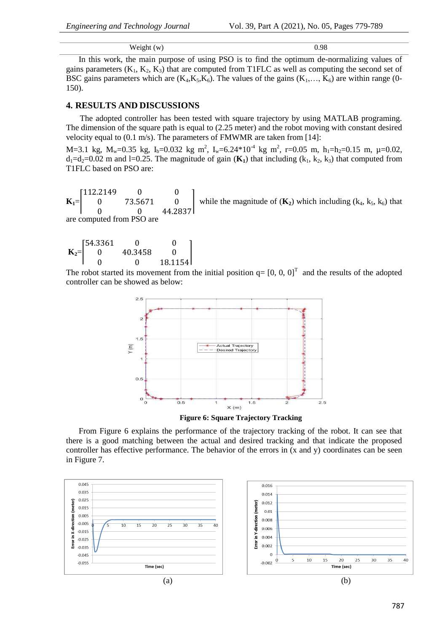$Weight(w)$  0.98

In this work, the main purpose of using PSO is to find the optimum de-normalizing values of gains parameters  $(K_1, K_2, K_3)$  that are computed from T1FLC as well as computing the second set of BSC gains parameters which are  $(K_4, K_5, K_6)$ . The values of the gains  $(K_1, \ldots, K_6)$  are within range (0-150).

## **4. RESULTS AND DISCUSSIONS**

The adopted controller has been tested with square trajectory by using MATLAB programing. The dimension of the square path is equal to (2.25 meter) and the robot moving with constant desired velocity equal to (0.1 m/s). The parameters of FMWMR are taken from [14]:

M=3.1 kg, M<sub>w</sub>=0.35 kg, I<sub>b</sub>=0.032 kg m<sup>2</sup>, I<sub>w</sub>=6.24\*10<sup>-4</sup> kg m<sup>2</sup>, r=0.05 m, h<sub>1</sub>=h<sub>2</sub>=0.15 m,  $\mu$ =0.02,  $d_1 = d_2 = 0.02$  m and l=0.25. The magnitude of gain ( $\mathbf{K}_1$ ) that including ( $k_1, k_2, k_3$ ) that computed from T1FLC based on PSO are:

112.2149  $\mathbf{0}$  $\overline{0}$ while the magnitude of  $(K_2)$  which including  $(k_4, k_5, k_6)$  that  $\mathbf{0}$  $K_1$  $\boldsymbol{0}$ 73.5671  $\Omega$  $\Omega$ 44.2837 are computed from PSO are

|        | [54.3361] |         |         |
|--------|-----------|---------|---------|
| $K_2=$ |           | 40.3458 |         |
|        |           |         | 18.1154 |

The robot started its movement from the initial position  $q = [0, 0, 0]^T$  and the results of the adopted controller can be showed as below:



**Figure 6: Square Trajectory Tracking**

From Figure 6 explains the performance of the trajectory tracking of the robot. It can see that there is a good matching between the actual and desired tracking and that indicate the proposed controller has effective performance. The behavior of the errors in (x and y) coordinates can be seen in Figure 7.

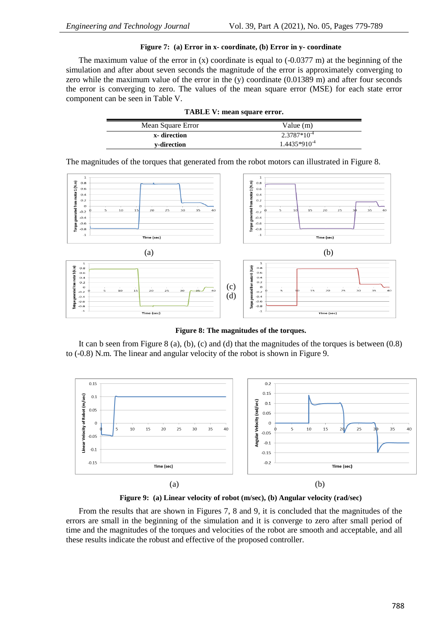## **Figure 7: (a) Error in x- coordinate, (b) Error in y- coordinate**

The maximum value of the error in  $(x)$  coordinate is equal to  $(-0.0377 \text{ m})$  at the beginning of the simulation and after about seven seconds the magnitude of the error is approximately converging to zero while the maximum value of the error in the  $(y)$  coordinate  $(0.01389 \text{ m})$  and after four seconds the error is converging to zero. The values of the mean square error (MSE) for each state error component can be seen in Table V.

| TABLE V: mean square error.      |                   |  |  |  |  |
|----------------------------------|-------------------|--|--|--|--|
| Mean Square Error<br>Value $(m)$ |                   |  |  |  |  |
| x-direction                      | $2.3787*10^{-4}$  |  |  |  |  |
| v-direction                      | $1.4435*910^{-4}$ |  |  |  |  |

The magnitudes of the torques that generated from the robot motors can illustrated in Figure 8.



**Figure 8: The magnitudes of the torques.**

It can b seen from Figure 8 (a), (b), (c) and (d) that the magnitudes of the torques is between (0.8) to (-0.8) N.m. The linear and angular velocity of the robot is shown in Figure 9.



**Figure 9: (a) Linear velocity of robot (m/sec), (b) Angular velocity (rad/sec)**

From the results that are shown in Figures 7, 8 and 9, it is concluded that the magnitudes of the errors are small in the beginning of the simulation and it is converge to zero after small period of time and the magnitudes of the torques and velocities of the robot are smooth and acceptable, and all these results indicate the robust and effective of the proposed controller.